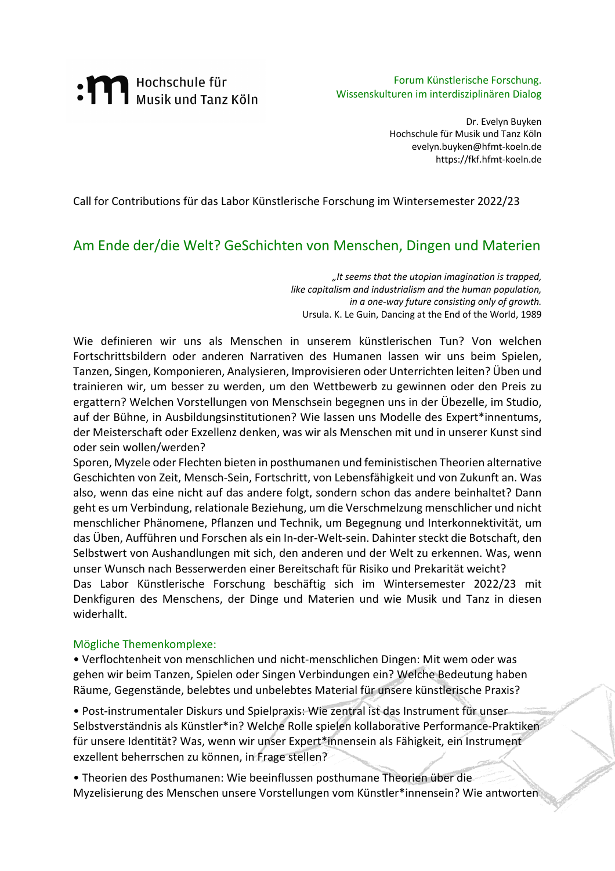# : M Hochschule für<br>Musik und Tanz Köln

Forum Künstlerische Forschung. Wissenskulturen im interdisziplinären Dialog

> Dr. Evelyn Buyken Hochschule für Musik und Tanz Köln evelyn.buyken@hfmt-koeln.de https://fkf.hfmt-koeln.de

Call for Contributions für das Labor Künstlerische Forschung im Wintersemester 2022/23

# Am Ende der/die Welt? GeSchichten von Menschen, Dingen und Materien

*"It seems that the utopian imagination is trapped, like capitalism and industrialism and the human population, in a one-way future consisting only of growth.*  Ursula. K. Le Guin, Dancing at the End of the World, 1989

Wie definieren wir uns als Menschen in unserem künstlerischen Tun? Von welchen Fortschrittsbildern oder anderen Narrativen des Humanen lassen wir uns beim Spielen, Tanzen, Singen, Komponieren, Analysieren, Improvisieren oder Unterrichten leiten? Üben und trainieren wir, um besser zu werden, um den Wettbewerb zu gewinnen oder den Preis zu ergattern? Welchen Vorstellungen von Menschsein begegnen uns in der Übezelle, im Studio, auf der Bühne, in Ausbildungsinstitutionen? Wie lassen uns Modelle des Expert\*innentums, der Meisterschaft oder Exzellenz denken, was wir als Menschen mit und in unserer Kunst sind oder sein wollen/werden?

Sporen, Myzele oder Flechten bieten in posthumanen und feministischen Theorien alternative Geschichten von Zeit, Mensch-Sein, Fortschritt, von Lebensfähigkeit und von Zukunft an. Was also, wenn das eine nicht auf das andere folgt, sondern schon das andere beinhaltet? Dann geht es um Verbindung, relationale Beziehung, um die Verschmelzung menschlicher und nicht menschlicher Phänomene, Pflanzen und Technik, um Begegnung und Interkonnektivität, um das Üben, Aufführen und Forschen als ein In-der-Welt-sein. Dahinter steckt die Botschaft, den Selbstwert von Aushandlungen mit sich, den anderen und der Welt zu erkennen. Was, wenn unser Wunsch nach Besserwerden einer Bereitschaft für Risiko und Prekarität weicht? Das Labor Künstlerische Forschung beschäftig sich im Wintersemester 2022/23 mit Denkfiguren des Menschens, der Dinge und Materien und wie Musik und Tanz in diesen widerhallt.

### Mögliche Themenkomplexe:

• Verflochtenheit von menschlichen und nicht-menschlichen Dingen: Mit wem oder was gehen wir beim Tanzen, Spielen oder Singen Verbindungen ein? Welche Bedeutung haben Räume, Gegenstände, belebtes und unbelebtes Material für unsere künstlerische Praxis?

• Post-instrumentaler Diskurs und Spielpraxis: Wie zentral ist das Instrument für unser Selbstverständnis als Künstler\*in? Welche Rolle spielen kollaborative Performance-Praktiken für unsere Identität? Was, wenn wir unser Expert\*innensein als Fähigkeit, ein Instrument exzellent beherrschen zu können, in Frage stellen?

• Theorien des Posthumanen: Wie beeinflussen posthumane Theorien über die Myzelisierung des Menschen unsere Vorstellungen vom Künstler\*innensein? Wie antworten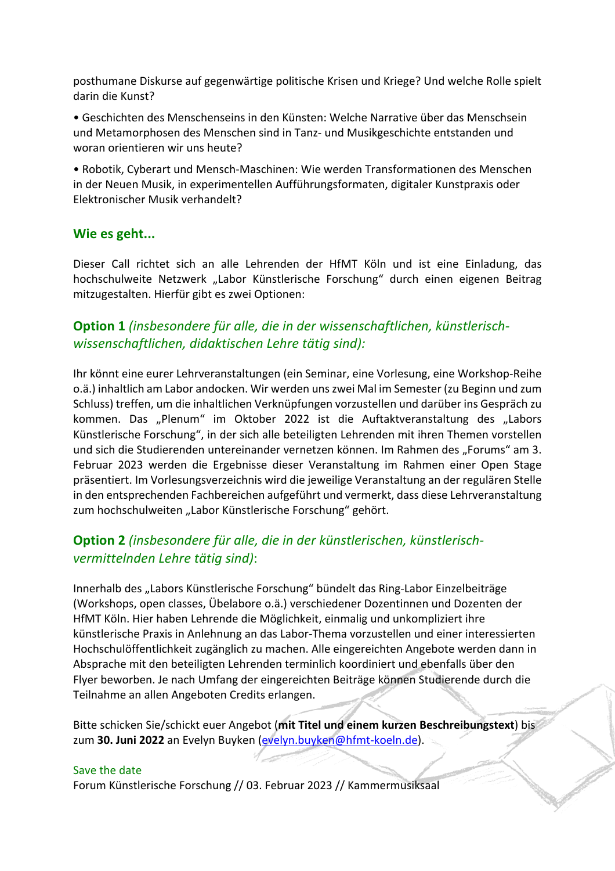posthumane Diskurse auf gegenwärtige politische Krisen und Kriege? Und welche Rolle spielt darin die Kunst?

• Geschichten des Menschenseins in den Künsten: Welche Narrative über das Menschsein und Metamorphosen des Menschen sind in Tanz- und Musikgeschichte entstanden und woran orientieren wir uns heute?

• Robotik, Cyberart und Mensch-Maschinen: Wie werden Transformationen des Menschen in der Neuen Musik, in experimentellen Aufführungsformaten, digitaler Kunstpraxis oder Elektronischer Musik verhandelt?

## **Wie es geht...**

Dieser Call richtet sich an alle Lehrenden der HfMT Köln und ist eine Einladung, das hochschulweite Netzwerk "Labor Künstlerische Forschung" durch einen eigenen Beitrag mitzugestalten. Hierfür gibt es zwei Optionen:

## **Option 1** *(insbesondere für alle, die in der wissenschaftlichen, künstlerischwissenschaftlichen, didaktischen Lehre tätig sind):*

Ihr könnt eine eurer Lehrveranstaltungen (ein Seminar, eine Vorlesung, eine Workshop-Reihe o.ä.) inhaltlich am Labor andocken. Wir werden uns zwei Mal im Semester (zu Beginn und zum Schluss) treffen, um die inhaltlichen Verknüpfungen vorzustellen und darüber ins Gespräch zu kommen. Das "Plenum" im Oktober 2022 ist die Auftaktveranstaltung des "Labors Künstlerische Forschung", in der sich alle beteiligten Lehrenden mit ihren Themen vorstellen und sich die Studierenden untereinander vernetzen können. Im Rahmen des "Forums" am 3. Februar 2023 werden die Ergebnisse dieser Veranstaltung im Rahmen einer Open Stage präsentiert. Im Vorlesungsverzeichnis wird die jeweilige Veranstaltung an der regulären Stelle in den entsprechenden Fachbereichen aufgeführt und vermerkt, dass diese Lehrveranstaltung zum hochschulweiten "Labor Künstlerische Forschung" gehört.

# **Option 2** *(insbesondere für alle, die in der künstlerischen, künstlerischvermittelnden Lehre tätig sind)*:

Innerhalb des "Labors Künstlerische Forschung" bündelt das Ring-Labor Einzelbeiträge (Workshops, open classes, Übelabore o.ä.) verschiedener Dozentinnen und Dozenten der HfMT Köln. Hier haben Lehrende die Möglichkeit, einmalig und unkompliziert ihre künstlerische Praxis in Anlehnung an das Labor-Thema vorzustellen und einer interessierten Hochschulöffentlichkeit zugänglich zu machen. Alle eingereichten Angebote werden dann in Absprache mit den beteiligten Lehrenden terminlich koordiniert und ebenfalls über den Flyer beworben. Je nach Umfang der eingereichten Beiträge können Studierende durch die Teilnahme an allen Angeboten Credits erlangen.

Bitte schicken Sie/schickt euer Angebot (**mit Titel und einem kurzen Beschreibungstext**) bis zum 30. Juni 2022 an Evelyn Buyken (evelyn.buyken@hfmt-koeln.de).

### Save the date

Forum Künstlerische Forschung // 03. Februar 2023 // Kammermusiksaal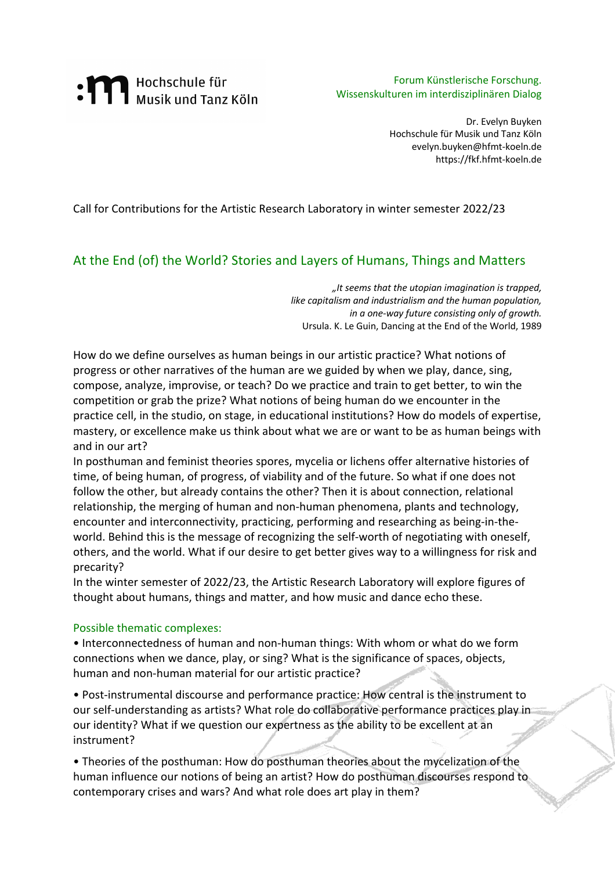# : **M** Hochschule für<br>Musik und Tanz Köln

Forum Künstlerische Forschung. Wissenskulturen im interdisziplinären Dialog

> Dr. Evelyn Buyken Hochschule für Musik und Tanz Köln evelyn.buyken@hfmt-koeln.de https://fkf.hfmt-koeln.de

Call for Contributions for the Artistic Research Laboratory in winter semester 2022/23

## At the End (of) the World? Stories and Layers of Humans, Things and Matters

*"It seems that the utopian imagination is trapped, like capitalism and industrialism and the human population, in a one-way future consisting only of growth.*  Ursula. K. Le Guin, Dancing at the End of the World, 1989

How do we define ourselves as human beings in our artistic practice? What notions of progress or other narratives of the human are we guided by when we play, dance, sing, compose, analyze, improvise, or teach? Do we practice and train to get better, to win the competition or grab the prize? What notions of being human do we encounter in the practice cell, in the studio, on stage, in educational institutions? How do models of expertise, mastery, or excellence make us think about what we are or want to be as human beings with and in our art?

In posthuman and feminist theories spores, mycelia or lichens offer alternative histories of time, of being human, of progress, of viability and of the future. So what if one does not follow the other, but already contains the other? Then it is about connection, relational relationship, the merging of human and non-human phenomena, plants and technology, encounter and interconnectivity, practicing, performing and researching as being-in-theworld. Behind this is the message of recognizing the self-worth of negotiating with oneself, others, and the world. What if our desire to get better gives way to a willingness for risk and precarity?

In the winter semester of 2022/23, the Artistic Research Laboratory will explore figures of thought about humans, things and matter, and how music and dance echo these.

### Possible thematic complexes:

• Interconnectedness of human and non-human things: With whom or what do we form connections when we dance, play, or sing? What is the significance of spaces, objects, human and non-human material for our artistic practice?

• Post-instrumental discourse and performance practice: How central is the instrument to our self-understanding as artists? What role do collaborative performance practices play in our identity? What if we question our expertness as the ability to be excellent at an instrument?

• Theories of the posthuman: How do posthuman theories about the mycelization of the human influence our notions of being an artist? How do posthuman discourses respond to contemporary crises and wars? And what role does art play in them?